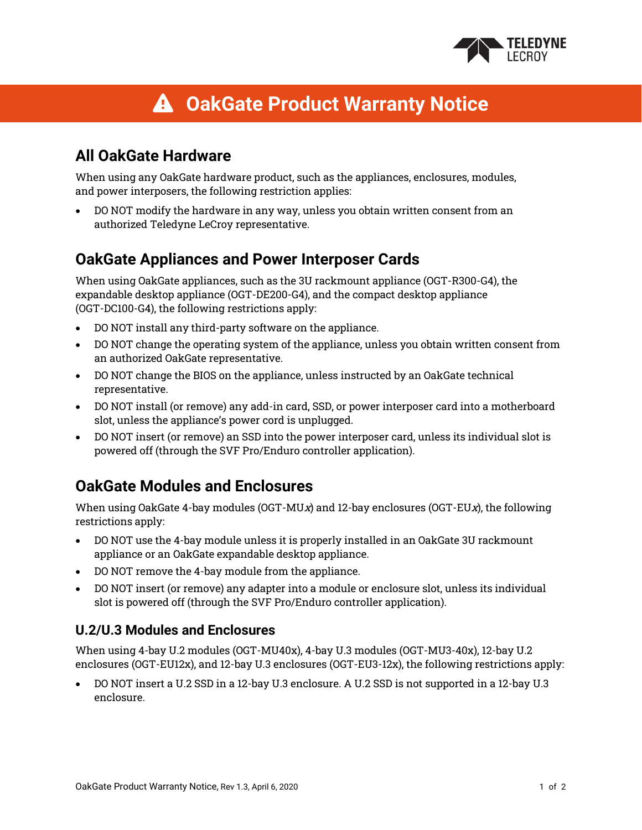

# **OakGate Product Warranty Notice**

## **All OakGate Hardware**

When using any OakGate hardware product, such as the appliances, enclosures, modules, and power interposers, the following restriction applies:

• DO NOT modify the hardware in any way, unless you obtain written consent from an authorized Teledyne LeCroy representative.

### **OakGate Appliances and Power Interposer Cards**

When using OakGate appliances, such as the 3U rackmount appliance (OGT-R300-G4), the expandable desktop appliance (OGT-DE200-G4), and the compact desktop appliance (OGT-DC100-G4), the following restrictions apply:

- DO NOT install any third-party software on the appliance.
- DO NOT change the operating system of the appliance, unless you obtain written consent from an authorized OakGate representative.
- DO NOT change the BIOS on the appliance, unless instructed by an OakGate technical representative.
- DO NOT install (or remove) any add-in card, SSD, or power interposer card into a motherboard slot, unless the appliance's power cord is unplugged.
- DO NOT insert (or remove) an SSD into the power interposer card, unless its individual slot is powered off (through the SVF Pro/Enduro controller application).

# **OakGate Modules and Enclosures**

When using OakGate 4-bay modules (OGT-MUx) and 12-bay enclosures (OGT-EUx), the following restrictions apply:

- DO NOT use the 4-bay module unless it is properly installed in an OakGate 3U rackmount appliance or an OakGate expandable desktop appliance.
- DO NOT remove the 4-bay module from the appliance.
- DO NOT insert (or remove) any adapter into a module or enclosure slot, unless its individual slot is powered off (through the SVF Pro/Enduro controller application).

#### **U.2/U.3 Modules and Enclosures**

When using 4-bay U.2 modules (OGT-MU40x), 4-bay U.3 modules (OGT-MU3-40x), 12-bay U.2 enclosures (OGT-EU12x), and 12-bay U.3 enclosures (OGT-EU3-12x), the following restrictions apply:

• DO NOT insert a U.2 SSD in a 12-bay U.3 enclosure. A U.2 SSD is not supported in a 12-bay U.3 enclosure.